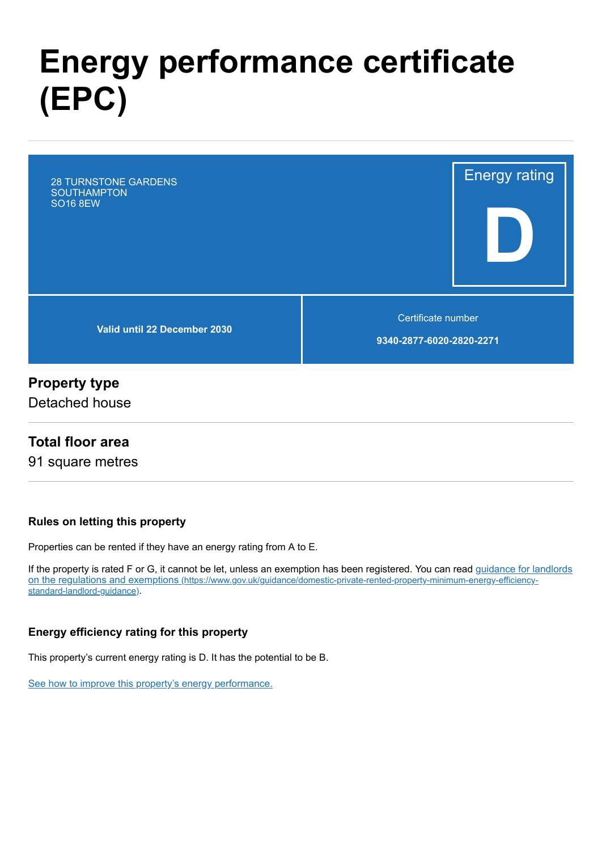# **Energy performance certificate (EPC)**

28 TURNSTONE GARDENS **SOUTHAMPTON** SO16 8EW

**Valid until 22 December 2030**

Certificate number

Energy rating

**D**

**9340-2877-6020-2820-2271**

## **Property type**

Detached house

#### **Total floor area**

91 square metres

#### **Rules on letting this property**

Properties can be rented if they have an energy rating from A to E.

[If the property is rated F or G, it cannot be let, unless an exemption has been registered. You can read guidance for landlords](https://www.gov.uk/guidance/domestic-private-rented-property-minimum-energy-efficiency-standard-landlord-guidance) on the regulations and exemptions (https://www.gov.uk/guidance/domestic-private-rented-property-minimum-energy-efficiencystandard-landlord-guidance).

#### **Energy efficiency rating for this property**

This property's current energy rating is D. It has the potential to be B.

[See how to improve this property's energy performance.](#page-3-0)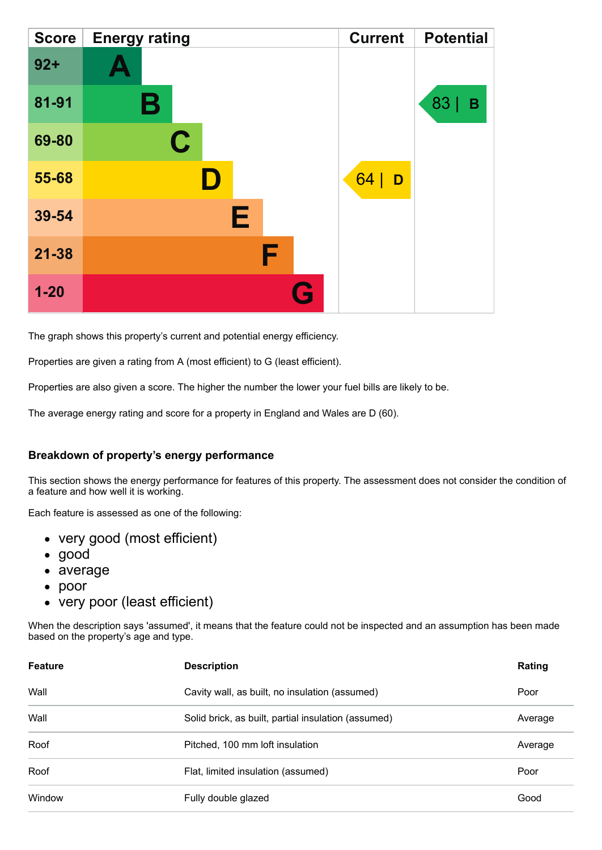| <b>Score</b> | <b>Energy rating</b> | <b>Current</b> | <b>Potential</b> |
|--------------|----------------------|----------------|------------------|
| $92 +$       | <b>A</b>             |                |                  |
| 81-91        | Β                    |                | 83<br>B          |
| 69-80        | $\mathbf C$          |                |                  |
| 55-68        |                      | 64 <br>D       |                  |
| 39-54        | Е                    |                |                  |
| $21 - 38$    | F                    |                |                  |
| $1 - 20$     |                      | G              |                  |

The graph shows this property's current and potential energy efficiency.

Properties are given a rating from A (most efficient) to G (least efficient).

Properties are also given a score. The higher the number the lower your fuel bills are likely to be.

The average energy rating and score for a property in England and Wales are D (60).

#### **Breakdown of property's energy performance**

This section shows the energy performance for features of this property. The assessment does not consider the condition of a feature and how well it is working.

Each feature is assessed as one of the following:

- very good (most efficient)
- good
- average
- poor
- very poor (least efficient)

When the description says 'assumed', it means that the feature could not be inspected and an assumption has been made based on the property's age and type.

| <b>Feature</b> | <b>Description</b>                                  | Rating  |
|----------------|-----------------------------------------------------|---------|
| Wall           | Cavity wall, as built, no insulation (assumed)      | Poor    |
| Wall           | Solid brick, as built, partial insulation (assumed) | Average |
| Roof           | Pitched, 100 mm loft insulation                     | Average |
| Roof           | Flat, limited insulation (assumed)                  | Poor    |
| Window         | Fully double glazed                                 | Good    |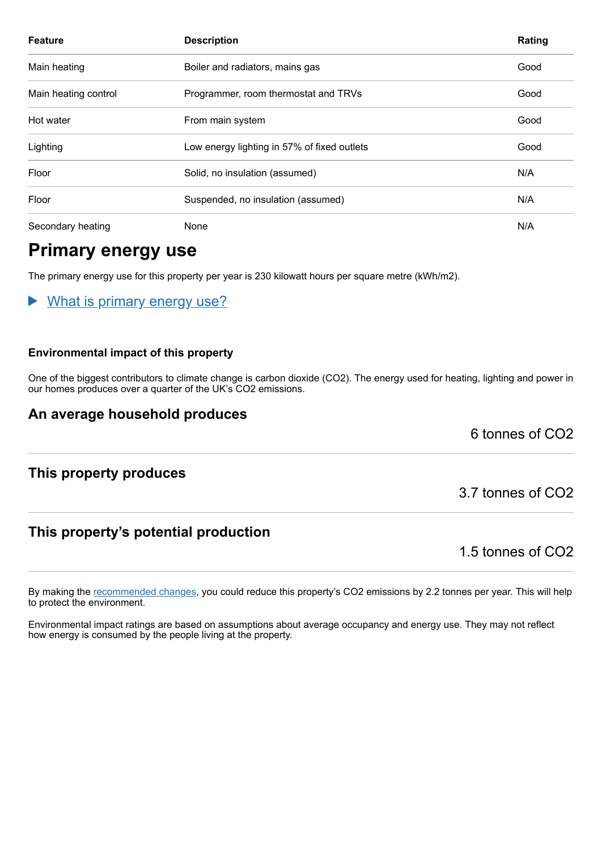| <b>Feature</b>       | <b>Description</b>                          | Rating |
|----------------------|---------------------------------------------|--------|
| Main heating         | Boiler and radiators, mains gas             | Good   |
| Main heating control | Programmer, room thermostat and TRVs        | Good   |
| Hot water            | From main system                            | Good   |
| Lighting             | Low energy lighting in 57% of fixed outlets | Good   |
| Floor                | Solid, no insulation (assumed)              | N/A    |
| Floor                | Suspended, no insulation (assumed)          | N/A    |
| Secondary heating    | None                                        | N/A    |

## **Primary energy use**

The primary energy use for this property per year is 230 kilowatt hours per square metre (kWh/m2).

#### What is primary energy use?

#### **Environmental impact of this property**

One of the biggest contributors to climate change is carbon dioxide (CO2). The energy used for heating, lighting and power in our homes produces over a quarter of the UK's CO2 emissions.

## **An average household produces**

6 tonnes of CO2

#### **This property produces**

## **This property's potential production**

1.5 tonnes of CO2

By making the [recommended changes,](#page-3-0) you could reduce this property's CO2 emissions by 2.2 tonnes per year. This will help to protect the environment.

Environmental impact ratings are based on assumptions about average occupancy and energy use. They may not reflect how energy is consumed by the people living at the property.

3.7 tonnes of CO2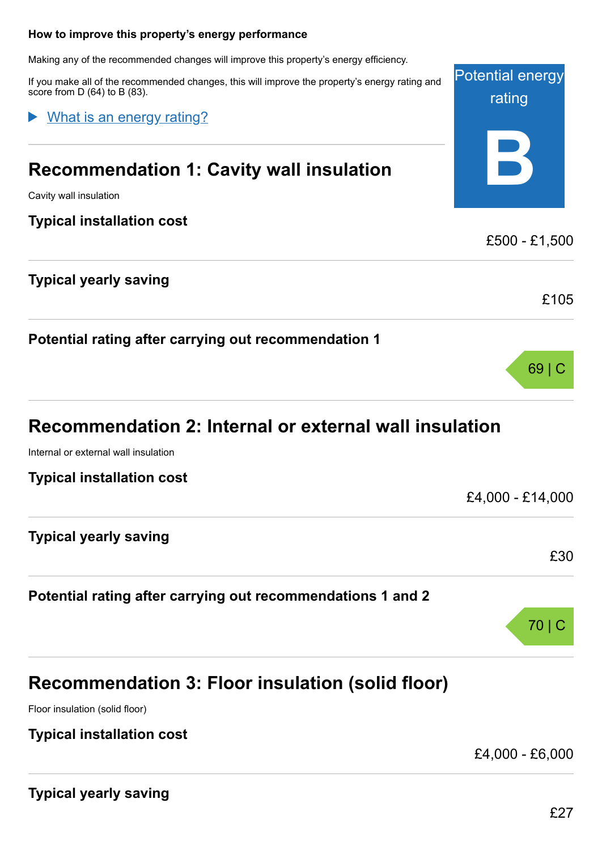#### <span id="page-3-0"></span>**How to improve this property's energy performance**

Making any of the recommended changes will improve this property's energy efficiency.

If you make all of the score from  $D(64)$  to

What is an

# **Recomme**

Cavity wall insulation

#### **Typical instal**

|  |  | Typical yearly saving |
|--|--|-----------------------|
|--|--|-----------------------|

**Potential** ratin

## **Recomme**

Internal or external wall insulation

**Typical installation cost**

| <b>Typical yearly saving</b> |  |
|------------------------------|--|
|                              |  |

## **Potential rating after carrying out recommendations 1 and 2**

# **Recommendation 3: Floor insulation (solid floor)**

Floor insulation (solid floor)

#### **Typical installation cost**

£4,000 - £6,000

£4,000 - £14,000

**Typical yearly saving**

£30

70 | C

| recommended changes, this will improve the property's energy rating and<br>B (83).<br><u>energy rating?</u> | <b>Potential energy</b><br>rating |  |
|-------------------------------------------------------------------------------------------------------------|-----------------------------------|--|
| ndation 1: Cavity wall insulation                                                                           |                                   |  |
| lation cost                                                                                                 | £500 - £1,500                     |  |
| / saving                                                                                                    | £105                              |  |
| ng after carrying out recommendation 1                                                                      |                                   |  |
|                                                                                                             | $69$   C                          |  |
| ndation 2: Internal or external wall insulation                                                             |                                   |  |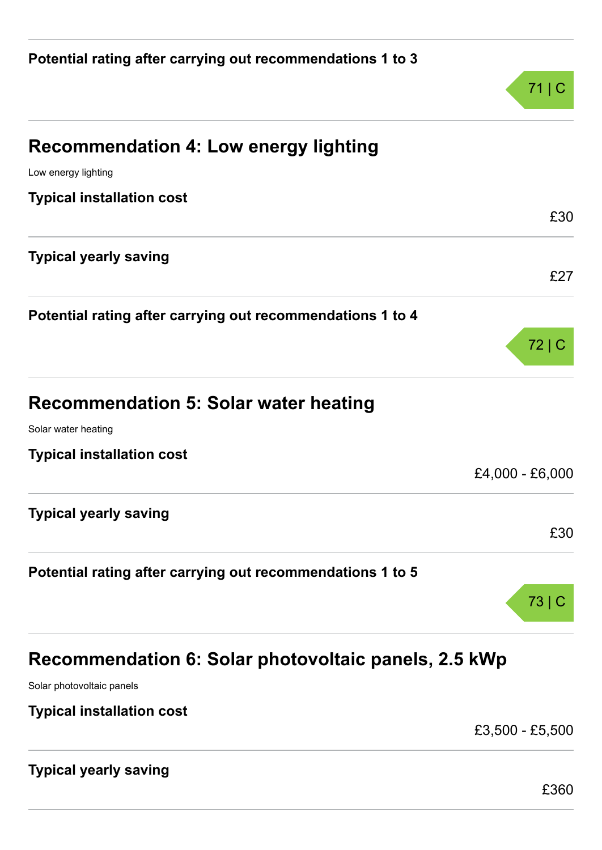|                                                            | 71   C          |
|------------------------------------------------------------|-----------------|
| <b>Recommendation 4: Low energy lighting</b>               |                 |
| Low energy lighting                                        |                 |
| <b>Typical installation cost</b>                           | £30             |
| <b>Typical yearly saving</b>                               |                 |
|                                                            | £27             |
| Potential rating after carrying out recommendations 1 to 4 |                 |
|                                                            | 72 C            |
| <b>Recommendation 5: Solar water heating</b>               |                 |
| Solar water heating                                        |                 |
| <b>Typical installation cost</b>                           |                 |
|                                                            | £4,000 - £6,000 |
| <b>Typical yearly saving</b>                               |                 |
|                                                            | £30             |
| Potential rating after carrying out recommendations 1 to 5 |                 |
|                                                            | 73              |
| Recommendation 6: Solar photovoltaic panels, 2.5 kWp       |                 |
| Solar photovoltaic panels                                  |                 |

**Typical installation cost**

£3,500 - £5,500

# **Typical yearly saving**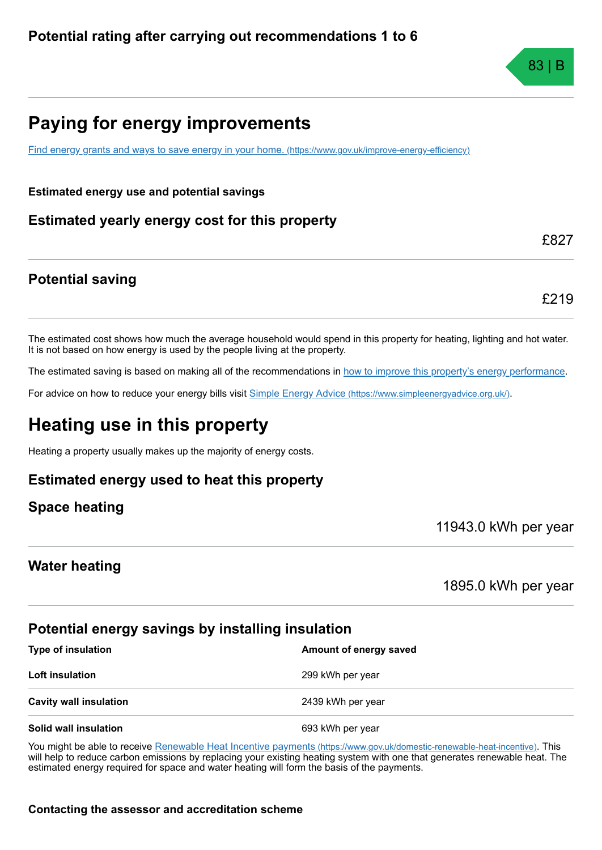# **Paying for energy improvements**

[Find energy grants and ways to save energy in your home.](https://www.gov.uk/improve-energy-efficiency) (https://www.gov.uk/improve-energy-efficiency)

**Estimated energy use and potential savings**

**Estimated yearly energy cost for this property**

## **Potential saving**

£219

£827

The estimated cost shows how much the average household would spend in this property for heating, lighting and hot water. It is not based on how energy is used by the people living at the property.

The estimated saving is based on making all of the recommendations in [how to improve this property's energy performance.](#page-3-0)

For advice on how to reduce your energy bills visit Simple Energy Advice [\(https://www.simpleenergyadvice.org.uk/\)](https://www.simpleenergyadvice.org.uk/).

# **Heating use in this property**

Heating a property usually makes up the majority of energy costs.

#### **Estimated energy used to heat this property**

**Space heating**

11943.0 kWh per year

#### **Water heating**

1895.0 kWh per year

#### **Potential energy savings by installing insulation**

**Type of insulation Amount of energy saved Amount of energy saved Loft insulation** 299 kWh per year **Cavity wall insulation** 2439 kWh per year **Solid wall insulation** 693 kWh per year

You might be able to receive Renewable Heat Incentive payments [\(https://www.gov.uk/domestic-renewable-heat-incentive\)](https://www.gov.uk/domestic-renewable-heat-incentive). This will help to reduce carbon emissions by replacing your existing heating system with one that generates renewable heat. The estimated energy required for space and water heating will form the basis of the payments.

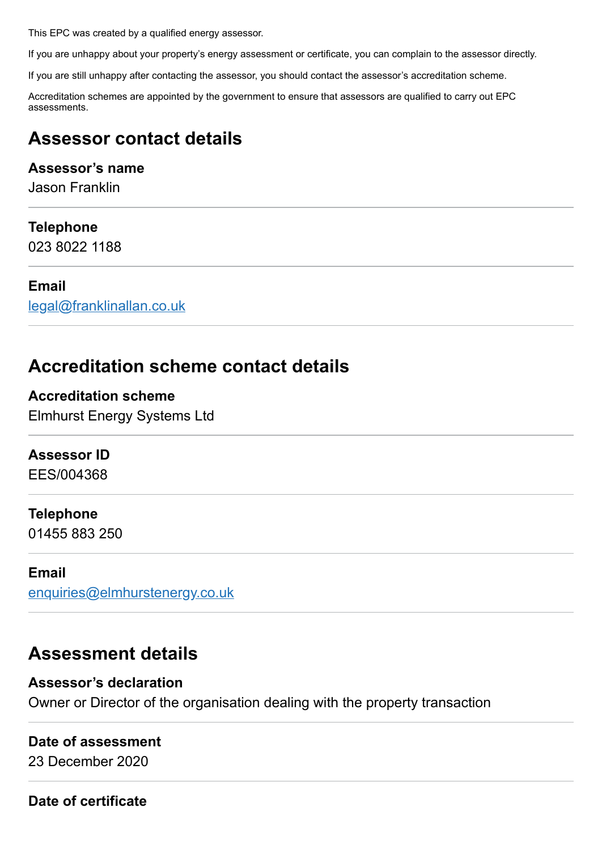This EPC was created by a qualified energy assessor.

If you are unhappy about your property's energy assessment or certificate, you can complain to the assessor directly.

If you are still unhappy after contacting the assessor, you should contact the assessor's accreditation scheme.

Accreditation schemes are appointed by the government to ensure that assessors are qualified to carry out EPC assessments.

# **Assessor contact details**

## **Assessor's name**

Jason Franklin

#### **Telephone**

023 8022 1188

#### **Email**

[legal@franklinallan.co.uk](mailto:legal@franklinallan.co.uk)

## **Accreditation scheme contact details**

**Accreditation scheme** Elmhurst Energy Systems Ltd

## **Assessor ID**

EES/004368

#### **Telephone**

01455 883 250

#### **Email**

[enquiries@elmhurstenergy.co.uk](mailto:enquiries@elmhurstenergy.co.uk)

## **Assessment details**

#### **Assessor's declaration**

Owner or Director of the organisation dealing with the property transaction

#### **Date of assessment**

23 December 2020

**Date of certificate**